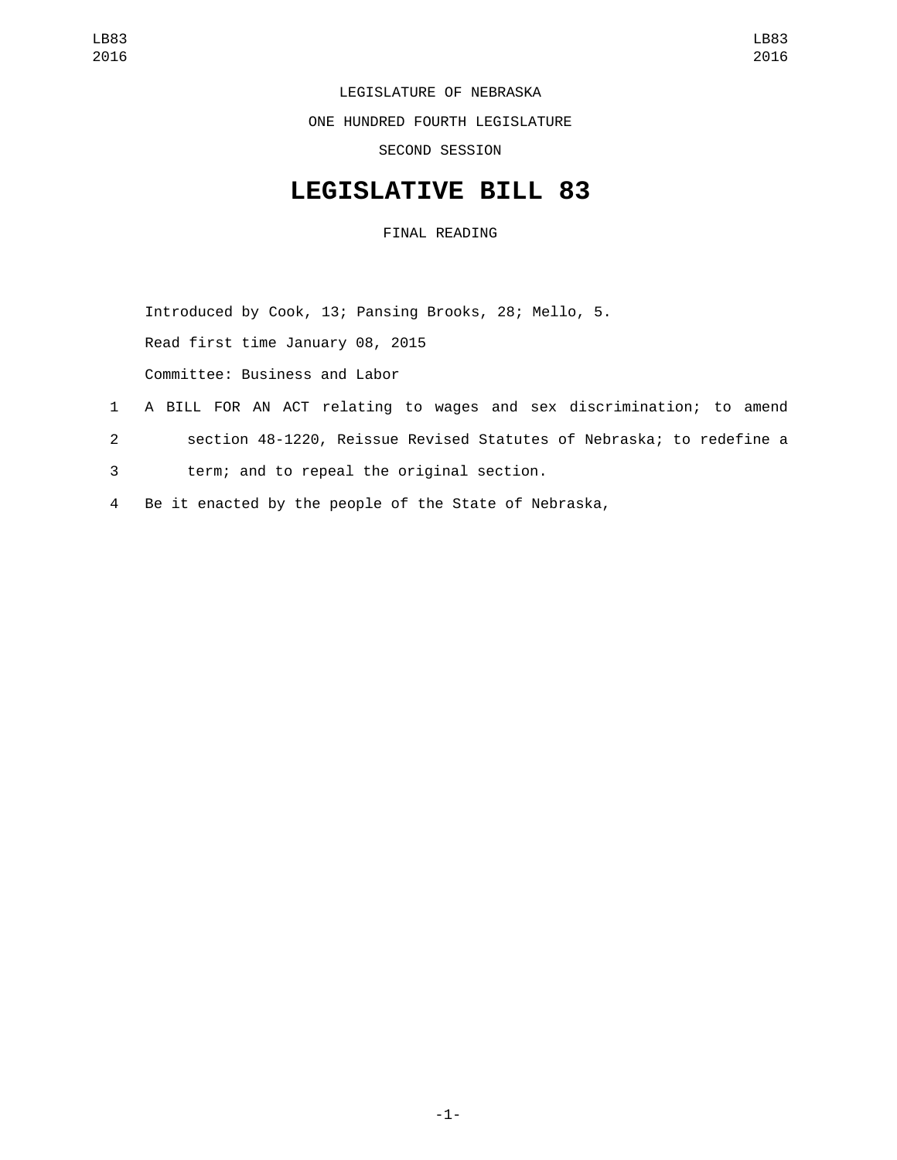LEGISLATURE OF NEBRASKA

ONE HUNDRED FOURTH LEGISLATURE

SECOND SESSION

## **LEGISLATIVE BILL 83**

FINAL READING

Introduced by Cook, 13; Pansing Brooks, 28; Mello, 5.

Read first time January 08, 2015

Committee: Business and Labor

- 1 A BILL FOR AN ACT relating to wages and sex discrimination; to amend
- 2 section 48-1220, Reissue Revised Statutes of Nebraska; to redefine a
- term; and to repeal the original section.3
- 4 Be it enacted by the people of the State of Nebraska,